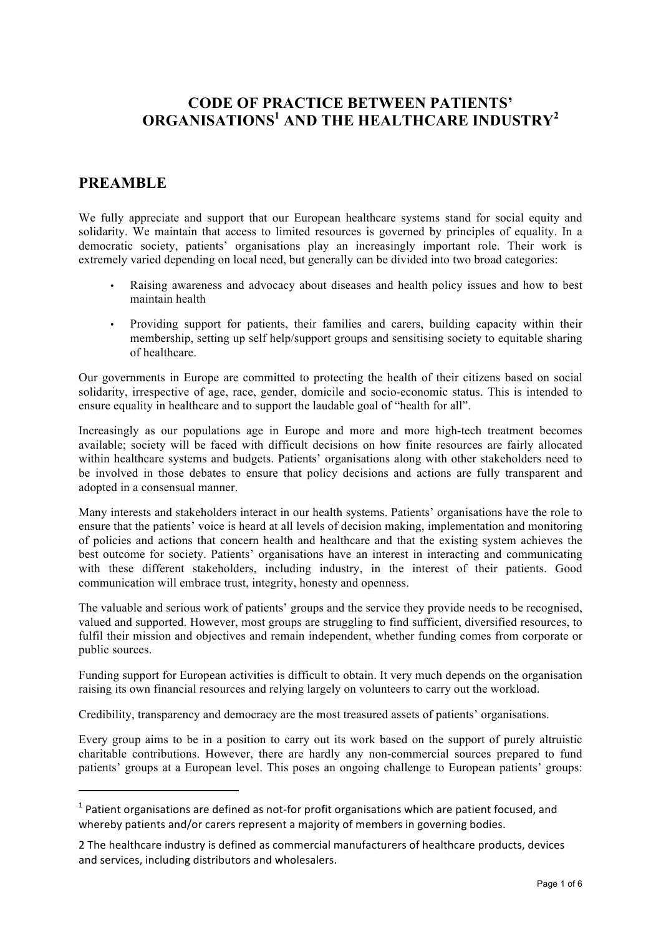# **CODE OF PRACTICE BETWEEN PATIENTS' ORGANISATIONS1 AND THE HEALTHCARE INDUSTRY<sup>2</sup>**

# **PREAMBLE**

!!!!!!!!!!!!!!!!!!!!!!!!!!!!!!!!!!!!!!!!!!!!!!!!!!!!!!!!!!!!

We fully appreciate and support that our European healthcare systems stand for social equity and solidarity. We maintain that access to limited resources is governed by principles of equality. In a democratic society, patients' organisations play an increasingly important role. Their work is extremely varied depending on local need, but generally can be divided into two broad categories:

- Raising awareness and advocacy about diseases and health policy issues and how to best maintain health
- Providing support for patients, their families and carers, building capacity within their membership, setting up self help/support groups and sensitising society to equitable sharing of healthcare.

Our governments in Europe are committed to protecting the health of their citizens based on social solidarity, irrespective of age, race, gender, domicile and socio-economic status. This is intended to ensure equality in healthcare and to support the laudable goal of "health for all".

Increasingly as our populations age in Europe and more and more high-tech treatment becomes available; society will be faced with difficult decisions on how finite resources are fairly allocated within healthcare systems and budgets. Patients' organisations along with other stakeholders need to be involved in those debates to ensure that policy decisions and actions are fully transparent and adopted in a consensual manner.

Many interests and stakeholders interact in our health systems. Patients' organisations have the role to ensure that the patients' voice is heard at all levels of decision making, implementation and monitoring of policies and actions that concern health and healthcare and that the existing system achieves the best outcome for society. Patients' organisations have an interest in interacting and communicating with these different stakeholders, including industry, in the interest of their patients. Good communication will embrace trust, integrity, honesty and openness.

The valuable and serious work of patients' groups and the service they provide needs to be recognised, valued and supported. However, most groups are struggling to find sufficient, diversified resources, to fulfil their mission and objectives and remain independent, whether funding comes from corporate or public sources.

Funding support for European activities is difficult to obtain. It very much depends on the organisation raising its own financial resources and relying largely on volunteers to carry out the workload.

Credibility, transparency and democracy are the most treasured assets of patients' organisations.

Every group aims to be in a position to carry out its work based on the support of purely altruistic charitable contributions. However, there are hardly any non-commercial sources prepared to fund patients' groups at a European level. This poses an ongoing challenge to European patients' groups:

 $1$  Patient organisations are defined as not-for profit organisations which are patient focused, and whereby patients and/or carers represent a majority of members in governing bodies.

<sup>2</sup> The healthcare industry is defined as commercial manufacturers of healthcare products, devices and services, including distributors and wholesalers.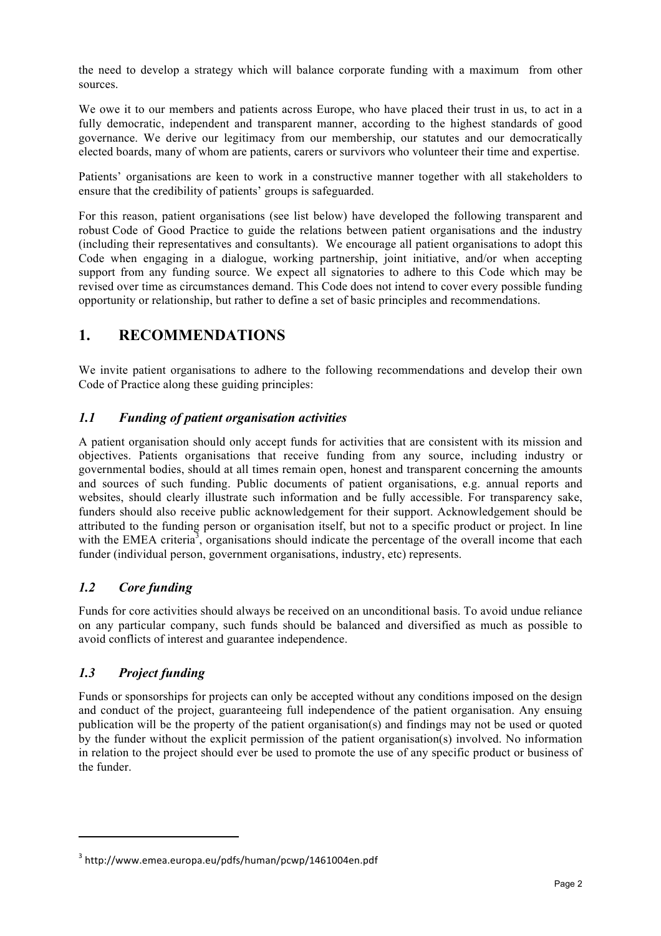the need to develop a strategy which will balance corporate funding with a maximum from other sources.

We owe it to our members and patients across Europe, who have placed their trust in us, to act in a fully democratic, independent and transparent manner, according to the highest standards of good governance. We derive our legitimacy from our membership, our statutes and our democratically elected boards, many of whom are patients, carers or survivors who volunteer their time and expertise.

Patients' organisations are keen to work in a constructive manner together with all stakeholders to ensure that the credibility of patients' groups is safeguarded.

For this reason, patient organisations (see list below) have developed the following transparent and robust Code of Good Practice to guide the relations between patient organisations and the industry (including their representatives and consultants). We encourage all patient organisations to adopt this Code when engaging in a dialogue, working partnership, joint initiative, and/or when accepting support from any funding source. We expect all signatories to adhere to this Code which may be revised over time as circumstances demand. This Code does not intend to cover every possible funding opportunity or relationship, but rather to define a set of basic principles and recommendations.

# **1. RECOMMENDATIONS**

We invite patient organisations to adhere to the following recommendations and develop their own Code of Practice along these guiding principles:

### *1.1 Funding of patient organisation activities*

A patient organisation should only accept funds for activities that are consistent with its mission and objectives. Patients organisations that receive funding from any source, including industry or governmental bodies, should at all times remain open, honest and transparent concerning the amounts and sources of such funding. Public documents of patient organisations, e.g. annual reports and websites, should clearly illustrate such information and be fully accessible. For transparency sake, funders should also receive public acknowledgement for their support. Acknowledgement should be attributed to the funding person or organisation itself, but not to a specific product or project. In line with the EMEA criteria<sup>3</sup>, organisations should indicate the percentage of the overall income that each funder (individual person, government organisations, industry, etc) represents.

## *1.2 Core funding*

Funds for core activities should always be received on an unconditional basis. To avoid undue reliance on any particular company, such funds should be balanced and diversified as much as possible to avoid conflicts of interest and guarantee independence.

#### *1.3 Project funding*

!!!!!!!!!!!!!!!!!!!!!!!!!!!!!!!!!!!!!!!!!!!!!!!!!!!!!!!!!!!!

Funds or sponsorships for projects can only be accepted without any conditions imposed on the design and conduct of the project, guaranteeing full independence of the patient organisation. Any ensuing publication will be the property of the patient organisation(s) and findings may not be used or quoted by the funder without the explicit permission of the patient organisation(s) involved. No information in relation to the project should ever be used to promote the use of any specific product or business of the funder.

<sup>3</sup> http://www.emea.europa.eu/pdfs/human/pcwp/1461004en.pdf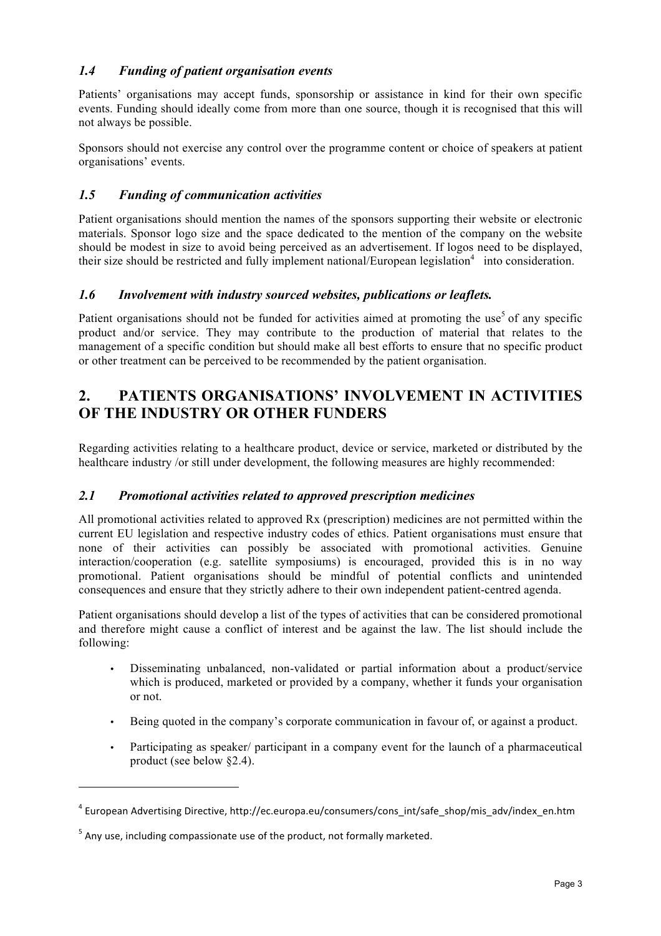### *1.4 Funding of patient organisation events*

Patients' organisations may accept funds, sponsorship or assistance in kind for their own specific events. Funding should ideally come from more than one source, though it is recognised that this will not always be possible.

Sponsors should not exercise any control over the programme content or choice of speakers at patient organisations' events.

### *1.5 Funding of communication activities*

Patient organisations should mention the names of the sponsors supporting their website or electronic materials. Sponsor logo size and the space dedicated to the mention of the company on the website should be modest in size to avoid being perceived as an advertisement. If logos need to be displayed, their size should be restricted and fully implement national/European legislation<sup>4</sup> into consideration.

#### *1.6 Involvement with industry sourced websites, publications or leaflets.*

Patient organisations should not be funded for activities aimed at promoting the use<sup>5</sup> of any specific product and/or service. They may contribute to the production of material that relates to the management of a specific condition but should make all best efforts to ensure that no specific product or other treatment can be perceived to be recommended by the patient organisation.

# **2. PATIENTS ORGANISATIONS' INVOLVEMENT IN ACTIVITIES OF THE INDUSTRY OR OTHER FUNDERS**

Regarding activities relating to a healthcare product, device or service, marketed or distributed by the healthcare industry /or still under development, the following measures are highly recommended:

#### *2.1 Promotional activities related to approved prescription medicines*

All promotional activities related to approved Rx (prescription) medicines are not permitted within the current EU legislation and respective industry codes of ethics. Patient organisations must ensure that none of their activities can possibly be associated with promotional activities. Genuine interaction/cooperation (e.g. satellite symposiums) is encouraged, provided this is in no way promotional. Patient organisations should be mindful of potential conflicts and unintended consequences and ensure that they strictly adhere to their own independent patient-centred agenda.

Patient organisations should develop a list of the types of activities that can be considered promotional and therefore might cause a conflict of interest and be against the law. The list should include the following:

- Disseminating unbalanced, non-validated or partial information about a product/service which is produced, marketed or provided by a company, whether it funds your organisation or not.
- Being quoted in the company's corporate communication in favour of, or against a product.
- Participating as speaker/ participant in a company event for the launch of a pharmaceutical product (see below §2.4).

!!!!!!!!!!!!!!!!!!!!!!!!!!!!!!!!!!!!!!!!!!!!!!!!!!!!!!!!!!!!

<sup>&</sup>lt;sup>4</sup> European Advertising Directive, http://ec.europa.eu/consumers/cons\_int/safe\_shop/mis\_adv/index\_en.htm

 $<sup>5</sup>$  Any use, including compassionate use of the product, not formally marketed.</sup>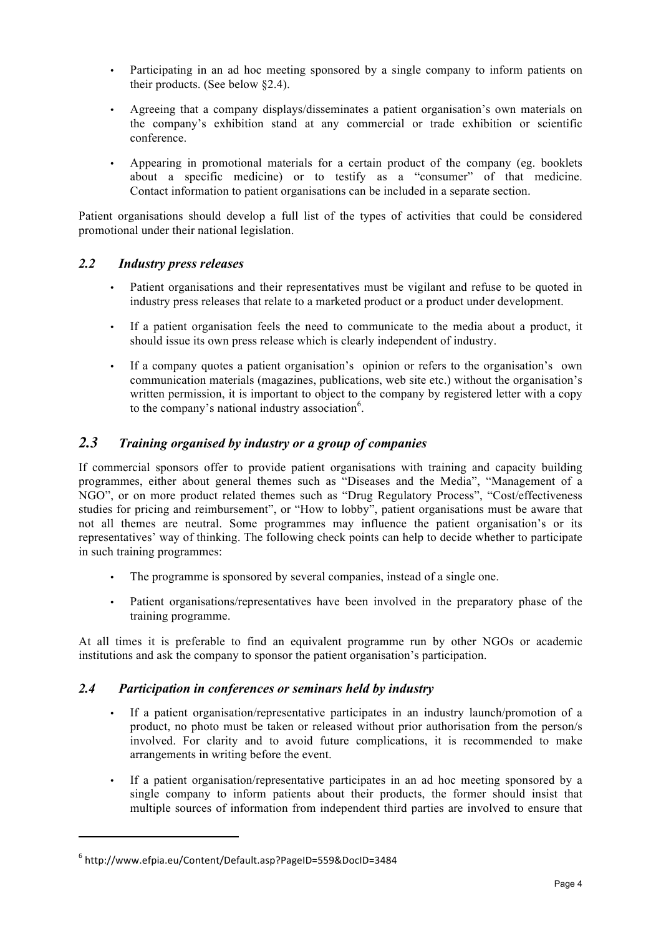- Participating in an ad hoc meeting sponsored by a single company to inform patients on their products. (See below §2.4).
- Agreeing that a company displays/disseminates a patient organisation's own materials on the company's exhibition stand at any commercial or trade exhibition or scientific conference.
- Appearing in promotional materials for a certain product of the company (eg. booklets about a specific medicine) or to testify as a "consumer" of that medicine. Contact information to patient organisations can be included in a separate section.

Patient organisations should develop a full list of the types of activities that could be considered promotional under their national legislation.

#### *2.2 Industry press releases*

- Patient organisations and their representatives must be vigilant and refuse to be quoted in industry press releases that relate to a marketed product or a product under development.
- If a patient organisation feels the need to communicate to the media about a product, it should issue its own press release which is clearly independent of industry.
- If a company quotes a patient organisation's opinion or refers to the organisation's own communication materials (magazines, publications, web site etc.) without the organisation's written permission, it is important to object to the company by registered letter with a copy to the company's national industry association<sup>6</sup>.

## *2.3 Training organised by industry or a group of companies*

If commercial sponsors offer to provide patient organisations with training and capacity building programmes, either about general themes such as "Diseases and the Media", "Management of a NGO", or on more product related themes such as "Drug Regulatory Process", "Cost/effectiveness studies for pricing and reimbursement", or "How to lobby", patient organisations must be aware that not all themes are neutral. Some programmes may influence the patient organisation's or its representatives' way of thinking. The following check points can help to decide whether to participate in such training programmes:

- The programme is sponsored by several companies, instead of a single one.
- Patient organisations/representatives have been involved in the preparatory phase of the training programme.

At all times it is preferable to find an equivalent programme run by other NGOs or academic institutions and ask the company to sponsor the patient organisation's participation.

#### *2.4 Participation in conferences or seminars held by industry*

- If a patient organisation/representative participates in an industry launch/promotion of a product, no photo must be taken or released without prior authorisation from the person/s involved. For clarity and to avoid future complications, it is recommended to make arrangements in writing before the event.
- If a patient organisation/representative participates in an ad hoc meeting sponsored by a single company to inform patients about their products, the former should insist that multiple sources of information from independent third parties are involved to ensure that

!!!!!!!!!!!!!!!!!!!!!!!!!!!!!!!!!!!!!!!!!!!!!!!!!!!!!!!!!!!!

<sup>6</sup> http://www.efpia.eu/Content/Default.asp?PageID=559&DocID=3484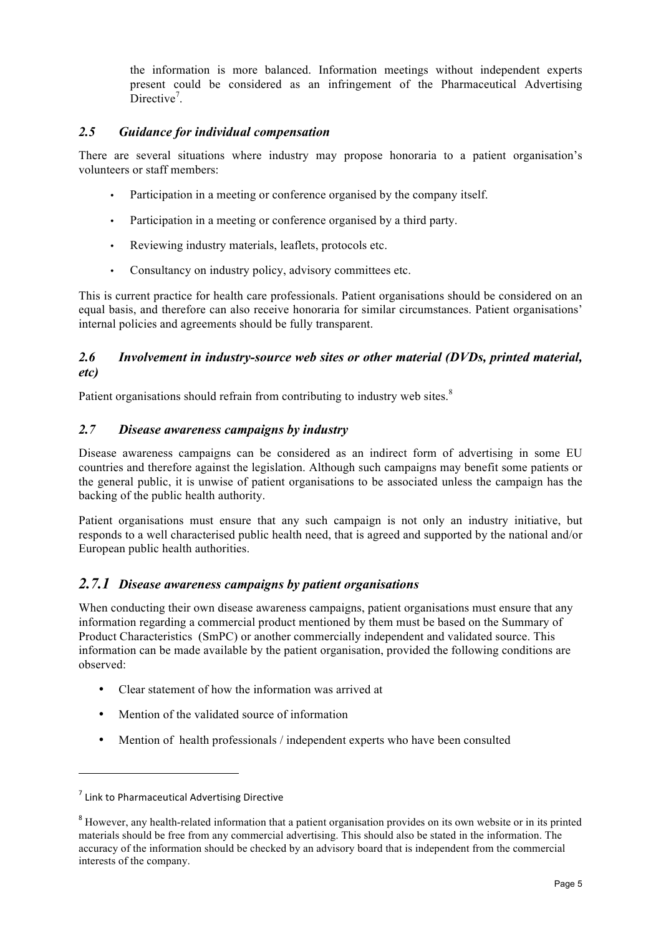the information is more balanced. Information meetings without independent experts present could be considered as an infringement of the Pharmaceutical Advertising Directive<sup>7</sup>.

#### *2.5 Guidance for individual compensation*

There are several situations where industry may propose honoraria to a patient organisation's volunteers or staff members:

- Participation in a meeting or conference organised by the company itself.
- Participation in a meeting or conference organised by a third party.
- Reviewing industry materials, leaflets, protocols etc.
- Consultancy on industry policy, advisory committees etc.

This is current practice for health care professionals. Patient organisations should be considered on an equal basis, and therefore can also receive honoraria for similar circumstances. Patient organisations' internal policies and agreements should be fully transparent.

#### *2.6 Involvement in industry-source web sites or other material (DVDs, printed material, etc)*

Patient organisations should refrain from contributing to industry web sites.<sup>8</sup>

### *2.7 Disease awareness campaigns by industry*

Disease awareness campaigns can be considered as an indirect form of advertising in some EU countries and therefore against the legislation. Although such campaigns may benefit some patients or the general public, it is unwise of patient organisations to be associated unless the campaign has the backing of the public health authority.

Patient organisations must ensure that any such campaign is not only an industry initiative, but responds to a well characterised public health need, that is agreed and supported by the national and/or European public health authorities.

## *2.7.1 Disease awareness campaigns by patient organisations*

When conducting their own disease awareness campaigns, patient organisations must ensure that any information regarding a commercial product mentioned by them must be based on the Summary of Product Characteristics (SmPC) or another commercially independent and validated source. This information can be made available by the patient organisation, provided the following conditions are observed:

- Clear statement of how the information was arrived at
- Mention of the validated source of information
- Mention of health professionals / independent experts who have been consulted

!!!!!!!!!!!!!!!!!!!!!!!!!!!!!!!!!!!!!!!!!!!!!!!!!!!!!!!!!!!!

 $<sup>7</sup>$  Link to Pharmaceutical Advertising Directive</sup>

<sup>&</sup>lt;sup>8</sup> However, any health-related information that a patient organisation provides on its own website or in its printed materials should be free from any commercial advertising. This should also be stated in the information. The accuracy of the information should be checked by an advisory board that is independent from the commercial interests of the company.